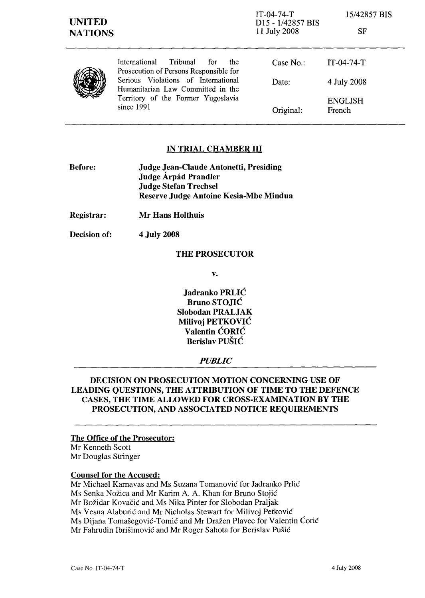| <b>UNITED</b><br><b>NATIONS</b> |                                                                                                                              | IT-04-74-T<br>D <sub>15</sub> - 1/42857 BIS<br>11 July 2008 | 15/42857 BIS<br><b>SF</b> |
|---------------------------------|------------------------------------------------------------------------------------------------------------------------------|-------------------------------------------------------------|---------------------------|
|                                 | International<br>Tribunal<br>for<br>the<br>Prosecution of Persons Responsible for                                            | Case $No.$ :                                                | $IT-04-74-T$              |
|                                 | Serious Violations of International<br>Humanitarian Law Committed in the<br>Territory of the Former Yugoslavia<br>since 1991 | Date:                                                       | 4 July 2008               |
|                                 |                                                                                                                              | Original:                                                   | <b>ENGLISH</b><br>French  |

### IN TRIAL CHAMBER **III**

| <b>Before:</b> | Judge Jean-Claude Antonetti, Presiding |  |
|----------------|----------------------------------------|--|
|                | Judge Árpád Prandler                   |  |
|                | <b>Judge Stefan Trechsel</b>           |  |
|                | Reserve Judge Antoine Kesia-Mbe Mindua |  |

Registrar: Mr Hans Holthuis

Decision of: 4 July 2008

#### THE PROSECUTOR

v.

Jadranko PRLIC Bruno STOJIC Slobodan PRALJAK Milivoj PETKOVIC Valentin CORIC Berislav PUSIC

#### *PUBLIC*

## DECISION ON PROSECUTION MOTION CONCERNING USE OF LEADING QUESTIONS, THE ATTRIBUTION OF TIME TO THE DEFENCE CASES, THE TIME ALLOWED FOR CROSS-EXAMINATION BY THE PROSECUTION, AND ASSOCIATED NOTICE REQUIREMENTS

The Office of the Prosecutor: Mr Kenneth Scott Mr Douglas Stringer

#### Counsel for the Accused:

Mr Michael Kamavas and Ms Suzana Tomanovic for Jadranko Prlic

Ms Senka Nozica and Mr Karim A. A. Khan for Bruno Stojic

Mr Bozidar Kovacic and Ms Nika Pinter for Slobodan Praljak

Ms Vesna Alaburic and Mr Nicholas Stewart for Milivoj Petkovic

Ms Dijana Tomašegović-Tomić and Mr Dražen Plavec for Valentin Ćorić

Mr Fahrudin Ibrisimovic and Mr Roger Sahota for Berislav Pusic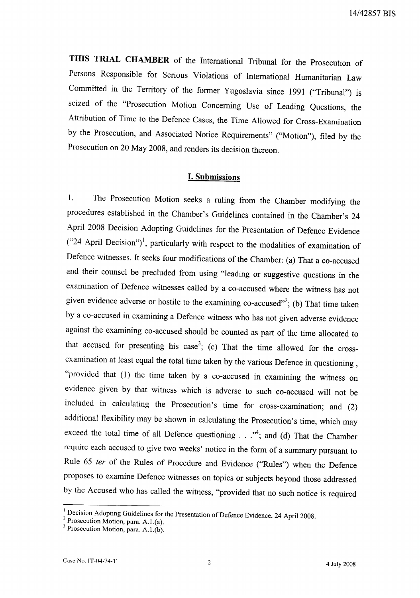THIS TRIAL CHAMBER of the International Tribunal for the Prosecution of Persons Responsible for Serious Violations of International Humanitarian Law Committed in the Territory of the former Yugoslavia since 1991 ("Tribunal") is seized of the "Prosecution Motion Concerning Use of Leading Questions, the Attribution of Time to the Defence Cases, the Time Allowed for Cross-Examination by the Prosecution, and Associated Notice Requirements" ("Motion"), filed by the Prosecution on 20 May 2008, and renders its decision thereon.

#### **I. Submissions**

 $\overline{1}$ . The Prosecution Motion seeks a ruling from the Chamber modifying the procedures established in the Chamber's Guidelines contained in the Chamber's 24 April 2008 Decision Adopting Guidelines for the Presentation of Defence Evidence ("24 April Decision")<sup>1</sup>, particularly with respect to the modalities of examination of Defence witnesses. It seeks four modifications of the Chamber: (a) That a co-accused and their counsel be precluded from using "leading or suggestive questions in the examination of Defence witnesses called by a co-accused where the witness has not given evidence adverse or hostile to the examining co-accused"<sup>2</sup>; (b) That time taken by a co-accused in examining a Defence witness who has not given adverse evidence against the examining co-accused should be counted as part of the time allocated to that accused for presenting his case<sup>3</sup>; (c) That the time allowed for the crossexamination at least equal the total time taken by the various Defence in questioning, "provided that  $(1)$  the time taken by a co-accused in examining the witness on evidence given by that witness which is adverse to such co-accused will not be included in calculating the Prosecution's time for cross-examination; and (2) additional flexibility may be shown in calculating the Prosecution's time, which may exceed the total time of all Defence questioning  $\ldots$ ."<sup>4</sup>; and (d) That the Chamber require each accused to give two weeks' notice in the form of a summary pursuant to Rule 65 ter of the Rules of Procedure and Evidence ("Rules") when the Defence proposes to examine Defence witnesses on topics or subjects beyond those addressed by the Accused who has called the witness, "provided that no such notice is required

 $\frac{1}{2}$  Decision Adopting Guidelines for the Presentation of Defence Evidence, 24 April 2008.

<sup>&</sup>lt;sup>2</sup> Prosecution Motion, para. A.1.(a).

<sup>&</sup>lt;sup>3</sup> Prosecution Motion, para. A.1.(b).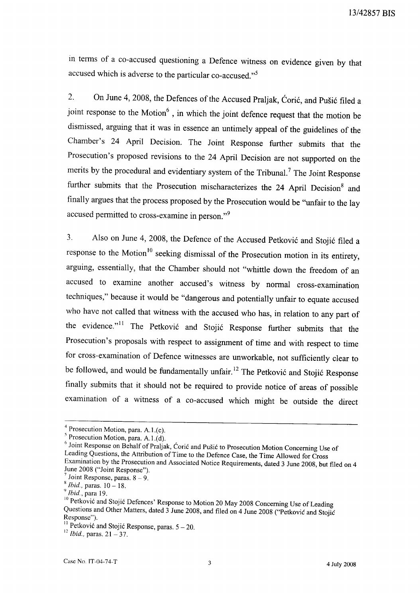in terms of a co-accused questioning a Defence witness on evidence given by that accused which is adverse to the particular co-accused."<sup>5</sup>

 $2.$ On June 4, 2008, the Defences of the Accused Praljak, Ćorić, and Pušić filed a joint response to the Motion<sup>6</sup>, in which the joint defence request that the motion be dismissed, arguing that it was in essence an untimely appeal of the guidelines of the Chamber's 24 April Decision. The Joint Response further submits that the Prosecution's proposed revisions to the 24 April Decision are not supported on the merits by the procedural and evidentiary system of the Tribunal.<sup>7</sup> The Joint Response further submits that the Prosecution mischaracterizes the 24 April Decision<sup>8</sup> and finally argues that the process proposed by the Prosecution would be "unfair to the lay accused permitted to cross-examine in person."<sup>9</sup>

Also on June 4, 2008, the Defence of the Accused Petković and Stojić filed a  $3.$ response to the Motion<sup>10</sup> seeking dismissal of the Prosecution motion in its entirety, arguing, essentially, that the Chamber should not "whittle down the freedom of an accused to examine another accused's witness by normal cross-examination techniques," because it would be "dangerous and potentially unfair to equate accused who have not called that witness with the accused who has, in relation to any part of the evidence."<sup>11</sup> The Petković and Stojić Response further submits that the Prosecution's proposals with respect to assignment of time and with respect to time for cross-examination of Defence witnesses are unworkable, not sufficiently clear to be followed, and would be fundamentally unfair.<sup>12</sup> The Petković and Stojić Response finally submits that it should not be required to provide notice of areas of possible examination of a witness of a co-accused which might be outside the direct

 $4$  Prosecution Motion, para. A.1.(c).

<sup>&</sup>lt;sup>5</sup> Prosecution Motion, para. A.1.(d).

b Joint Response on Behalf of Praljak, Coric and Pušic to Prosecution Motion Concerning Use of Leading Questions, the Attribution of Time to the Defence Case, the Time Allowed for Cross Examination by the Prosecution and Associated Notice Requirements, dated 3 June 2008, but filed on 4 June 2008 ("Joint Response").

<sup>&</sup>lt;sup>7</sup> Joint Response, paras.  $8 - 9$ .

 $8$  *Ibid.*, paras.  $10 - 18$ .

 $^9$  Ibid., para 19.

<sup>&</sup>lt;sup>10</sup> Petković and Stojić Defences' Response to Motion 20 May 2008 Concerning Use of Leading Questions and Other Matters, dated 3 June 2008, and filed on 4 June 2008 ("Petković and Stojić Response").

<sup>&</sup>lt;sup>11</sup> Petković and Stojić Response, paras.  $5 - 20$ .

<sup>&</sup>lt;sup>12</sup> *Ibid.*, paras.  $21 - 37$ .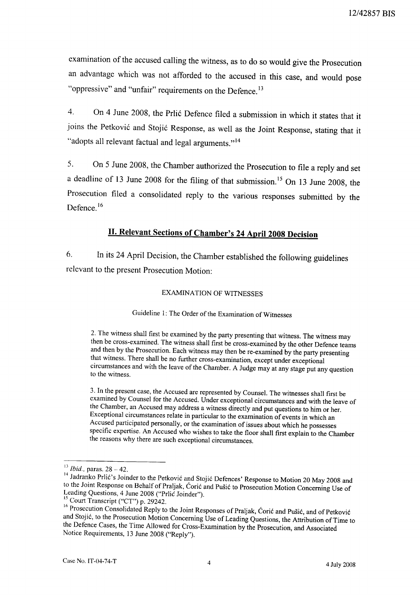examination of the accused calling the witness, as to do so would give the Prosecution an advantage which was not afforded to the accused in this case, and would pose "oppressive" and "unfair" requirements on the Defence.<sup>13</sup>

On 4 June 2008, the Prlić Defence filed a submission in which it states that it  $\overline{4}$ . joins the Petković and Stojić Response, as well as the Joint Response, stating that it "adopts all relevant factual and legal arguments."<sup>14</sup>

On 5 June 2008, the Chamber authorized the Prosecution to file a reply and set  $5<sub>1</sub>$ a deadline of 13 June 2008 for the filing of that submission.<sup>15</sup> On 13 June 2008, the Prosecution filed a consolidated reply to the various responses submitted by the Defence  $16$ 

# **II. Relevant Sections of Chamber's 24 April 2008 Decision**

In its 24 April Decision, the Chamber established the following guidelines 6. relevant to the present Prosecution Motion:

#### **EXAMINATION OF WITNESSES**

Guideline 1: The Order of the Examination of Witnesses

2. The witness shall first be examined by the party presenting that witness. The witness may then be cross-examined. The witness shall first be cross-examined by the other Defence teams and then by the Prosecution. Each witness may then be re-examined by the party presenting that witness. There shall be no further cross-examination, except under exceptional circumstances and with the leave of the Chamber. A Judge may at any stage put any question to the witness.

3. In the present case, the Accused are represented by Counsel. The witnesses shall first be examined by Counsel for the Accused. Under exceptional circumstances and with the leave of the Chamber, an Accused may address a witness directly and put questions to him or her. Exceptional circumstances relate in particular to the examination of events in which an Accused participated personally, or the examination of issues about which he possesses specific expertise. An Accused who wishes to take the floor shall first explain to the Chamber the reasons why there are such exceptional circumstances.

 $13$  *Ibid.*, paras.  $28 - 42$ .

<sup>&</sup>lt;sup>14</sup> Jadranko Prlić's Joinder to the Petković and Stojić Defences' Response to Motion 20 May 2008 and to the Joint Response on Behalf of Praljak, Corić and Pušić to Prosecution Motion Concerning Use of Leading Questions, 4 June 2008 ("Prlic Joinder").

<sup>&</sup>lt;sup>15</sup> Court Transcript ("CT") p. 29242.

<sup>&</sup>lt;sup>16</sup> Prosecution Consolidated Reply to the Joint Responses of Praljak, Coric and Pušic, and of Petkovic and Stojić, to the Prosecution Motion Concerning Use of Leading Questions, the Attribution of Time to the Defence Cases, the Time Allowed for Cross-Examination by the Prosecution, and Associated Notice Requirements, 13 June 2008 ("Reply").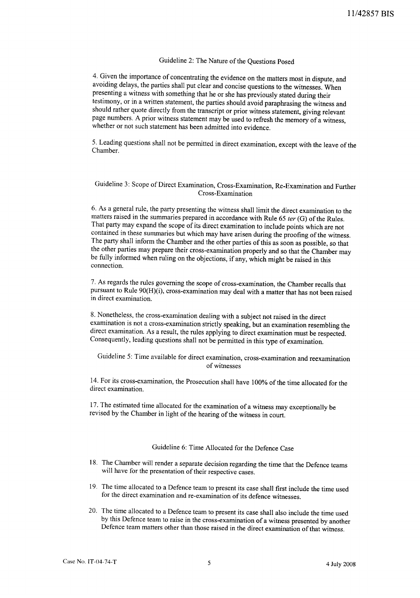## Guideline 2: The Nature of the Questions Posed

4. Given the importance of concentrating the evidence on the matters most in dispute, and avoiding delays, the parties shall put clear and concise questions to the witnesses. When presenting a witness with something that he or she has previously stated during their testimony, or in a written statement, the parties should avoid paraphrasing the witness and should rather quote directly from the transcript or prior witness statement, giving relevant page numbers. A prior witness statement may be used to refresh the memory of a witness, whether or not such statement has been admitted into evidence.

5. Leading questions shall not be permitted in direct examination, except with the leave of the Chamber.

#### Guideline 3: Scope of Direct Examination, Cross-Examination, Re-Examination and Further Cross-Examination

6. As a general rule, the party presenting the witness shall limit the direct examination to the matters raised in the summaries prepared in accordance with Rule 65 ter (G) of the Rules. That party may expand the scope of its direct examination to include points which are not contained in these summaries but which may have arisen during the proofing of the witness. The party shall inform the Chamber and the other parties of this as soon as possible, so that the other parties may prepare their cross-examination properly and so that the Chamber may be fully informed when ruling on the objections, if any, which might be raised in this connection.

7. As regards the rules governing the scope of cross-examination, the Chamber recalls that pursuant to Rule 90(H)(i), cross-examination may deal with a matter that has not been raised in direct examination.

8. Nonetheless, the cross-examination dealing with a subject not raised in the direct examination is not a cross-examination strictly speaking, but an examination resembling the direct examination. As a result, the rules applying to direct examination must be respected. Consequently, leading questions shall not be permitted in this type of examination.

Guideline 5: Time available for direct examination, cross-examination and reexamination of witnesses

14. For its cross-examination, the Prosecution shall have 100% of the time allocated for the direct examination.

17. The estimated time allocated for the examination of a witness may exceptionally be revised by the Chamber in light of the hearing of the witness in court.

### Guideline 6: Time Allocated for the Defence Case

- 18. The Chamber will render a separate decision regarding the time that the Defence teams will have for the presentation of their respective cases.
- 19. The time allocated to a Defence team to present its case shall first include the time used for the direct examination and re-examination of its defence witnesses.
- 20. The time allocated to a Defence team to present its case shall also include the time used by this Defence team to raise in the cross-examination of a witness presented by another Defence team matters other than those raised in the direct examination of that witness.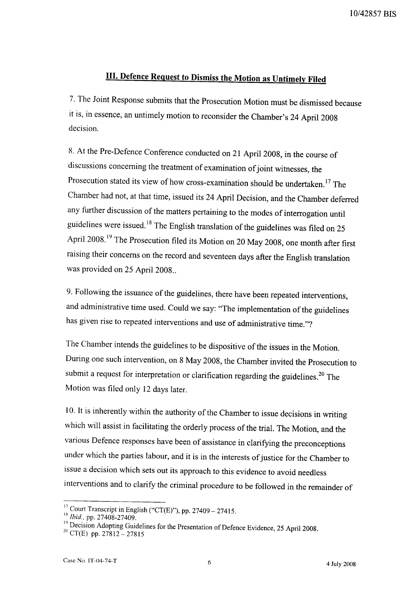# III. Defence Request to Dismiss the Motion as Untimely Filed

7. The Joint Response submits that the Prosecution Motion must be dismissed because it is, in essence, an untimely motion to reconsider the Chamber's 24 April 2008 decision.

8. At the Pre-Defence Conference conducted on 21 April 2008, in the course of discussions concerning the treatment of examination of joint witnesses, the Prosecution stated its view of how cross-examination should be undertaken.<sup>17</sup> The Chamber had not, at that time, issued its 24 April Decision, and the Chamber deferred any further discussion of the matters pertaining to the modes of interrogation until guidelines were issued.<sup>18</sup> The English translation of the guidelines was filed on 25 April 2008.<sup>19</sup> The Prosecution filed its Motion on 20 May 2008, one month after first raising their concerns on the record and seventeen days after the English translation was provided on 25 April 2008..

9. Following the issuance of the guidelines, there have been repeated interventions, and administrative time used. Could we say: "The implementation of the guidelines has given rise to repeated interventions and use of administrative time."?

The Chamber intends the guidelines to be dispositive of the issues in the Motion. During one such intervention, on 8 May 2008, the Chamber invited the Prosecution to submit a request for interpretation or clarification regarding the guidelines.<sup>20</sup> The Motion was filed only 12 days later.

10. It is inherently within the authority of the Chamber to issue decisions in writing which will assist in facilitating the orderly process of the trial. The Motion, and the various Defence responses have been of assistance in clarifying the preconceptions under which the parties labour, and it is in the interests of justice for the Chamber to issue a decision which sets out its approach to this evidence to avoid needless interventions and to clarify the criminal procedure to be followed in the remainder of

<sup>&</sup>lt;sup>17</sup> Court Transcript in English ("CT(E)"), pp. 27409 – 27415.

<sup>&</sup>lt;sup>18</sup> Ibid., pp. 27408-27409.

<sup>&</sup>lt;sup>19</sup> Decision Adopting Guidelines for the Presentation of Defence Evidence, 25 April 2008.

<sup>&</sup>lt;sup>20</sup> CT(E) pp.  $27812 - 27815$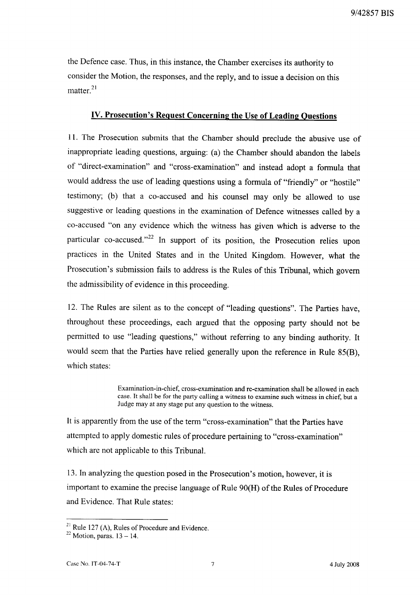the Defence case. Thus, in this instance, the Chamber exercises its authority to consider the Motion, the responses, and the reply, and to issue a decision on this matter<sup>21</sup>

### **IV. Prosecution's Request Concerning the Use of Leading Ouestions**

11. The Prosecution submits that the Chamber should preclude the abusive use of inappropriate leading questions, arguing: (a) the Chamber should abandon the labels of "direct-examination" and "cross-examination" and instead adopt a formula that would address the use of leading questions using a formula of "friendly" or "hostile" testimony; (b) that a co-accused and his counsel may only be allowed to use suggestive or leading questions in the examination of Defence witnesses called by a co-accused "on any evidence which the witness has given which is adverse to the particular co-accused."<sup>22</sup> In support of its position, the Prosecution relies upon practices in the United States and in the United Kingdom. However, what the Prosecution's submission fails to address is the Rules of this Tribunal, which govern the admissibility of evidence in this proceeding.

12. The Rules are silent as to the concept of "leading questions". The Parties have, throughout these proceedings, each argued that the opposing party should not be permitted to use "leading questions," without referring to any binding authority. It would seem that the Parties have relied generally upon the reference in Rule 85(B), which states:

> Examination-in-chief, cross-examination and re-examination shall be allowed in each case. It shall be for the party calling a witness to examine such witness in chief, but a Judge may at any stage put any question to the witness.

It is apparently from the use of the term "cross-examination" that the Parties have attempted to apply domestic rules of procedure pertaining to "cross-examination" which are not applicable to this Tribunal.

13. In analyzing the question posed in the Prosecution's motion, however, it is important to examine the precise language of Rule 90(H) of the Rules of Procedure and Evidence. That Rule states:

<sup>&</sup>lt;sup>21</sup> Rule 127 (A), Rules of Procedure and Evidence.

 $22$  Motion, paras.  $13 - 14$ .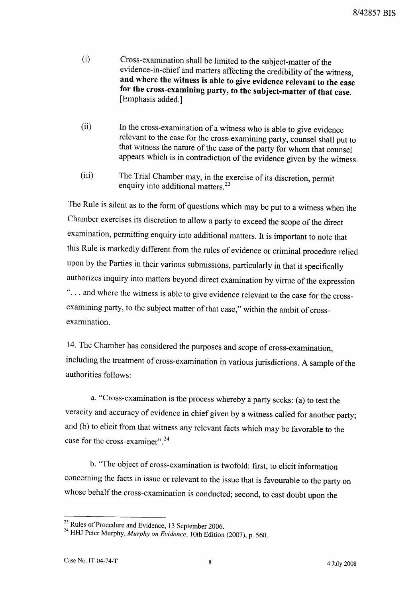- $(i)$ Cross-examination shall be limited to the subject-matter of the evidence-in-chief and matters affecting the credibility of the witness, and where the witness is able to give evidence relevant to the case for the cross-examining party, to the subject-matter of that case. [Emphasis added.]
- $(ii)$ In the cross-examination of a witness who is able to give evidence relevant to the case for the cross-examining party, counsel shall put to that witness the nature of the case of the party for whom that counsel appears which is in contradiction of the evidence given by the witness.
- The Trial Chamber may, in the exercise of its discretion, permit  $(iii)$ enquiry into additional matters.<sup>23</sup>

The Rule is silent as to the form of questions which may be put to a witness when the Chamber exercises its discretion to allow a party to exceed the scope of the direct examination, permitting enquiry into additional matters. It is important to note that this Rule is markedly different from the rules of evidence or criminal procedure relied upon by the Parties in their various submissions, particularly in that it specifically authorizes inquiry into matters beyond direct examination by virtue of the expression "... and where the witness is able to give evidence relevant to the case for the crossexamining party, to the subject matter of that case," within the ambit of crossexamination.

14. The Chamber has considered the purposes and scope of cross-examination, including the treatment of cross-examination in various jurisdictions. A sample of the authorities follows:

a. "Cross-examination is the process whereby a party seeks: (a) to test the veracity and accuracy of evidence in chief given by a witness called for another party; and (b) to elicit from that witness any relevant facts which may be favorable to the case for the cross-examiner".<sup>24</sup>

b. "The object of cross-examination is twofold: first, to elicit information concerning the facts in issue or relevant to the issue that is favourable to the party on whose behalf the cross-examination is conducted; second, to cast doubt upon the

<sup>&</sup>lt;sup>23</sup> Rules of Procedure and Evidence, 13 September 2006.

<sup>&</sup>lt;sup>24</sup> HHJ Peter Murphy, Murphy on Evidence, 10th Edition (2007), p. 560..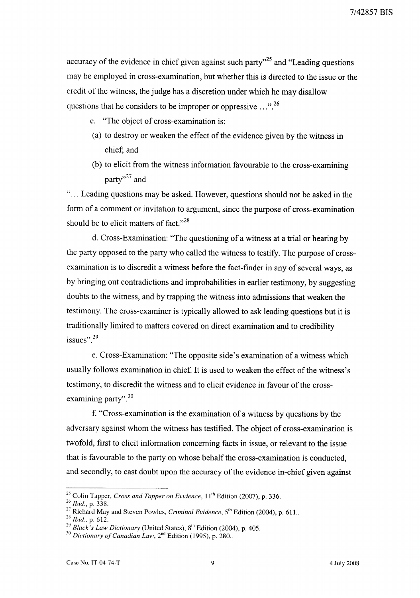accuracy of the evidence in chief given against such party"<sup>25</sup> and "Leading questions" may be employed in cross-examination, but whether this is directed to the issue or the credit of the witness, the judge has a discretion under which he may disallow questions that he considers to be improper or oppressive  $\ldots$ <sup>26</sup>

- c. "The object of cross-examination is:
- (a) to destroy or weaken the effect of the evidence given by the witness in chief; and
- (b) to elicit from the witness information favourable to the cross-examining party"<sup>27</sup> and

"... Leading questions may be asked. However, questions should not be asked in the form of a comment or invitation to argument, since the purpose of cross-examination should be to elicit matters of fact."<sup>28</sup>

d. Cross-Examination: "The questioning of a witness at a trial or hearing by the party opposed to the party who called the witness to testify. The purpose of crossexamination is to discredit a witness before the fact-finder in any of several ways, as by bringing out contradictions and improbabilities in earlier testimony, by suggesting doubts to the witness, and by trapping the witness into admissions that weaken the testimony. The cross-examiner is typically allowed to ask leading questions but it is traditionally limited to matters covered on direct examination and to credibility issues".<sup>29</sup>

e. Cross-Examination: "The opposite side's examination of a witness which usually follows examination in chief. It is used to weaken the effect of the witness's testimony, to discredit the witness and to elicit evidence in favour of the crossexamining party".<sup>30</sup>

f. "Cross-examination is the examination of a witness by questions by the adversary against whom the witness has testified. The object of cross-examination is twofold, first to elicit information concerning facts in issue, or relevant to the issue that is favourable to the party on whose behalf the cross-examination is conducted, and secondly, to cast doubt upon the accuracy of the evidence in-chief given against

<sup>&</sup>lt;sup>25</sup> Colin Tapper, *Cross and Tapper on Evidence*,  $11<sup>th</sup>$  Edition (2007), p. 336.

 $^{26}$  Ibid., p. 338.

<sup>&</sup>lt;sup>27</sup> Richard May and Steven Powles, *Criminal Evidence*, 5<sup>th</sup> Edition (2004), p. 611..

<sup>&</sup>lt;sup>28</sup> *Ibid.*, p. 612.

<sup>&</sup>lt;sup>29</sup> Black's Law Dictionary (United States),  $8^{th}$  Edition (2004), p. 405.

<sup>&</sup>lt;sup>30</sup> Dictionary of Canadian Law,  $2<sup>nd</sup>$  Edition (1995), p. 280..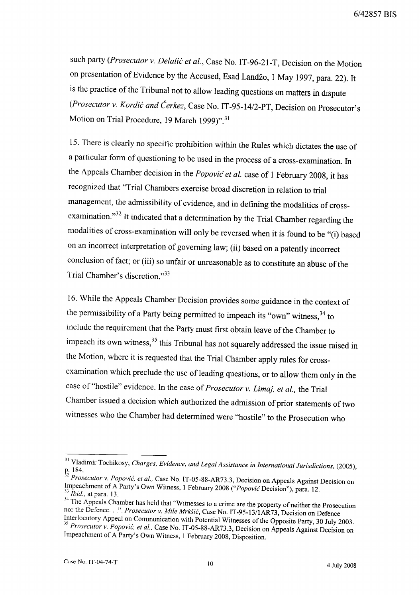such party (Prosecutor v. Delalić et al., Case No. IT-96-21-T, Decision on the Motion on presentation of Evidence by the Accused, Esad Landžo, 1 May 1997, para. 22). It is the practice of the Tribunal not to allow leading questions on matters in dispute (Prosecutor v. Kordić and Čerkez, Case No. IT-95-14/2-PT, Decision on Prosecutor's Motion on Trial Procedure, 19 March 1999)".<sup>31</sup>

15. There is clearly no specific prohibition within the Rules which dictates the use of a particular form of questioning to be used in the process of a cross-examination. In the Appeals Chamber decision in the Popović et al. case of 1 February 2008, it has recognized that "Trial Chambers exercise broad discretion in relation to trial management, the admissibility of evidence, and in defining the modalities of crossexamination."<sup>32</sup> It indicated that a determination by the Trial Chamber regarding the modalities of cross-examination will only be reversed when it is found to be "(i) based on an incorrect interpretation of governing law; (ii) based on a patently incorrect conclusion of fact; or (iii) so unfair or unreasonable as to constitute an abuse of the Trial Chamber's discretion."33

16. While the Appeals Chamber Decision provides some guidance in the context of the permissibility of a Party being permitted to impeach its "own" witness, 34 to include the requirement that the Party must first obtain leave of the Chamber to impeach its own witness,<sup>35</sup> this Tribunal has not squarely addressed the issue raised in the Motion, where it is requested that the Trial Chamber apply rules for crossexamination which preclude the use of leading questions, or to allow them only in the case of "hostile" evidence. In the case of Prosecutor v. Limaj, et al., the Trial Chamber issued a decision which authorized the admission of prior statements of two witnesses who the Chamber had determined were "hostile" to the Prosecution who

<sup>&</sup>lt;sup>31</sup> Vladimir Tochikosy, Charges, Evidence, and Legal Assistance in International Jurisdictions, (2005),

p. 184.<br><sup>32</sup> Prosecutor v. Popović, et al., Case No. IT-05-88-AR73.3, Decision on Appeals Against Decision on Impeachment of A Party's Own Witness, 1 February 2008 ("Popovic Decision"), para. 12.  $33$  *Ibid.*, at para. 13.

<sup>&</sup>lt;sup>34</sup> The Appeals Chamber has held that "Witnesses to a crime are the property of neither the Prosecution nor the Defence...". Prosecutor v. Mile Mrkšić, Case No. IT-95-13/1AR73, Decision on Defence Interlocutory Appeal on Communication with Potential Witnesses of the Opposite Party, 30 July 2003.

<sup>&</sup>lt;sup>35</sup> Prosecutor v. Popović, et al., Case No. IT-05-88-AR73.3, Decision on Appeals Against Decision on Impeachment of A Party's Own Witness, 1 February 2008, Disposition.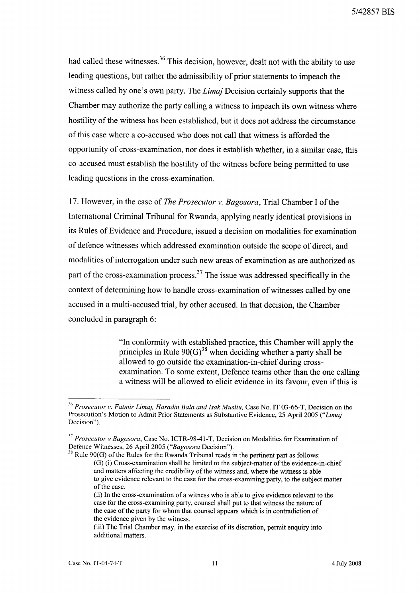had called these witnesses.<sup>36</sup> This decision, however, dealt not with the ability to use leading questions, but rather the admissibility of prior statements to impeach the witness called by one's own party. The *Limaj* Decision certainly supports that the Chamber may authorize the party calling a witness to impeach its own witness where hostility of the witness has been established, but it does not address the circumstance of this case where a co-accused who does not call that witness is afforded the opportunity of cross-examination, nor does it establish whether, in a similar case, this co-accused must establish the hostility of the witness before being permitted to use leading questions in the cross-examination.

17. However, in the case of *The Prosecutor v. Bagosora*, Trial Chamber I of the International Criminal Tribunal for Rwanda, applying nearly identical provisions in its Rules of Evidence and Procedure, issued a decision on modalities for examination of defence witnesses which addressed examination outside the scope of direct, and modalities of interrogation under such new areas of examination as are authorized as part of the cross-examination process.<sup>37</sup> The issue was addressed specifically in the context of determining how to handle cross-examination of witnesses called by one accused in a multi-accused trial, by other accused. In that decision, the Chamber concluded in paragraph 6:

> "In conformity with established practice, this Chamber will apply the principles in Rule  $90(G)^{38}$  when deciding whether a party shall be allowed to go outside the examination-in-chief during crossexamination. To some extent, Defence teams other than the one calling a witness will be allowed to elicit evidence in its favour, even if this is

 $36$  Prosecutor v. Fatmir Limaj, Haradin Bala and Isak Musliu, Case No. IT 03-66-T, Decision on the Prosecution's Motion to Admit Prior Statements as Substantive Evidence, 25 April 2005 ("Limaj Decision").

<sup>&</sup>lt;sup>37</sup> Prosecutor v Bagosora, Case No. ICTR-98-41-T, Decision on Modalities for Examination of Defence Witnesses, 26 April 2005 ("Bagosora Decision").

 $38$  Rule 90(G) of the Rules for the Rwanda Tribunal reads in the pertinent part as follows: (G) (i) Cross-examination shall be limited to the subject-matter of the evidence-in-chief and matters affecting the credibility of the witness and, where the witness is able to give evidence relevant to the case for the cross-examining party, to the subject matter of the case.

<sup>(</sup>ii) In the cross-examination of a witness who is able to give evidence relevant to the case for the cross-examining party, counsel shall put to that witness the nature of the case of the party for whom that counsel appears which is in contradiction of the evidence given by the witness.

<sup>(</sup>iii) The Trial Chamber may, in the exercise of its discretion, permit enquiry into additional matters.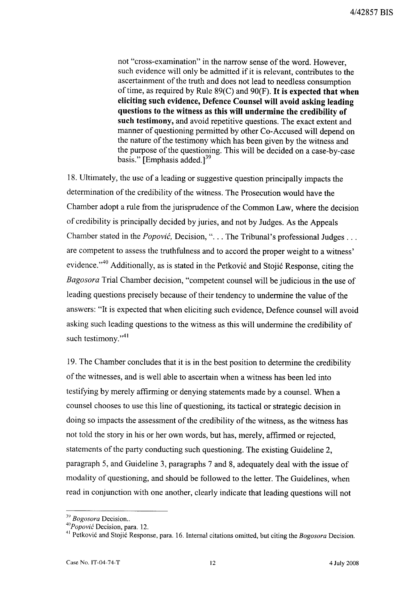not "cross-examination" in the narrow sense of the word. However, such evidence will only be admitted if it is relevant, contributes to the ascertainment of the truth and does not lead to needless consumption of time, as required by Rule  $89(C)$  and  $90(F)$ . It is expected that when eliciting such evidence, Defence Counsel will avoid asking leading questions to the witness as this will undermine the credibility of such testimony, and avoid repetitive questions. The exact extent and manner of questioning permitted by other Co-Accused will depend on the nature of the testimony which has been given by the witness and the purpose of the questioning. This will be decided on a case-by-case basis." [Emphasis added.]<sup>39</sup>

18. Ultimately, the use of a leading or suggestive question principally impacts the determination of the credibility of the witness. The Prosecution would have the Chamber adopt a rule from the jurisprudence of the Common Law, where the decision of credibility is principally decided by juries, and not by Judges. As the Appeals Chamber stated in the *Popović*, Decision, "... The Tribunal's professional Judges ... are competent to assess the truthfulness and to accord the proper weight to a witness' evidence."<sup>40</sup> Additionally, as is stated in the Petković and Stojić Response, citing the Bagosora Trial Chamber decision, "competent counsel will be judicious in the use of leading questions precisely because of their tendency to undermine the value of the answers: "It is expected that when eliciting such evidence, Defence counsel will avoid asking such leading questions to the witness as this will undermine the credibility of such testimony."<sup>41</sup>

19. The Chamber concludes that it is in the best position to determine the credibility of the witnesses, and is well able to ascertain when a witness has been led into testifying by merely affirming or denying statements made by a counsel. When a counsel chooses to use this line of questioning, its tactical or strategic decision in doing so impacts the assessment of the credibility of the witness, as the witness has not told the story in his or her own words, but has, merely, affirmed or rejected, statements of the party conducting such questioning. The existing Guideline 2, paragraph 5, and Guideline 3, paragraphs 7 and 8, adequately deal with the issue of modality of questioning, and should be followed to the letter. The Guidelines, when read in conjunction with one another, clearly indicate that leading questions will not

<sup>&</sup>lt;sup>39</sup> Bogosora Decision..

 $^{40}Popovic$  Decision, para. 12.

<sup>&</sup>lt;sup>41</sup> Petković and Stojić Response, para. 16. Internal citations omitted, but citing the Bogosora Decision.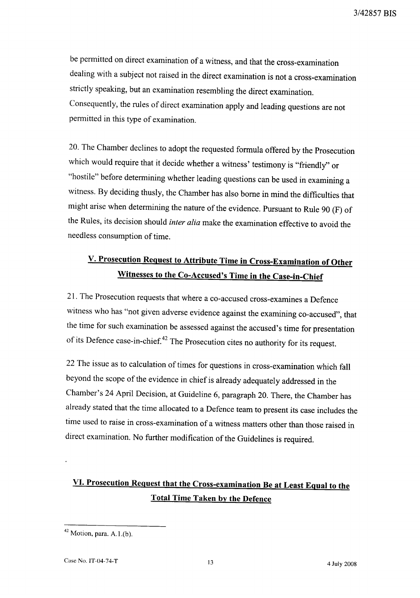be permitted on direct examination of a witness, and that the cross-examination dealing with a subject not raised in the direct examination is not a cross-examination strictly speaking, but an examination resembling the direct examination. Consequently, the rules of direct examination apply and leading questions are not permitted in this type of examination.

20. The Chamber declines to adopt the requested formula offered by the Prosecution which would require that it decide whether a witness' testimony is "friendly" or "hostile" before determining whether leading questions can be used in examining a witness. By deciding thusly, the Chamber has also borne in mind the difficulties that might arise when determining the nature of the evidence. Pursuant to Rule 90 (F) of the Rules, its decision should *inter alia* make the examination effective to avoid the needless consumption of time.

# V. Prosecution Request to Attribute Time in Cross-Examination of Other Witnesses to the Co-Accused's Time in the Case-in-Chief

21. The Prosecution requests that where a co-accused cross-examines a Defence witness who has "not given adverse evidence against the examining co-accused", that the time for such examination be assessed against the accused's time for presentation of its Defence case-in-chief.<sup>42</sup> The Prosecution cites no authority for its request.

22 The issue as to calculation of times for questions in cross-examination which fall beyond the scope of the evidence in chief is already adequately addressed in the Chamber's 24 April Decision, at Guideline 6, paragraph 20. There, the Chamber has already stated that the time allocated to a Defence team to present its case includes the time used to raise in cross-examination of a witness matters other than those raised in direct examination. No further modification of the Guidelines is required.

# VI. Prosecution Request that the Cross-examination Be at Least Equal to the **Total Time Taken by the Defence**

 $42$  Motion, para. A.1.(b).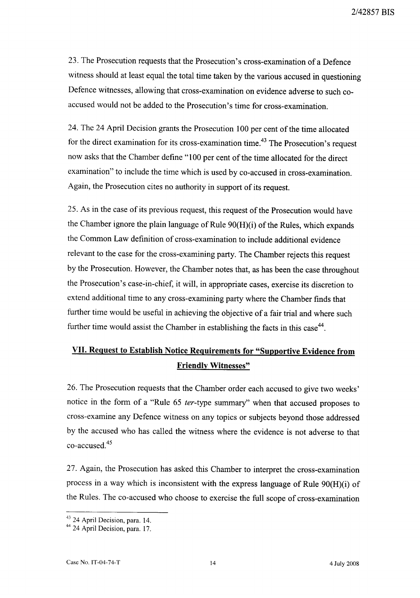23. The Prosecution requests that the Prosecution's cross-examination of a Defence witness should at least equal the total time taken by the various accused in questioning Defence witnesses, allowing that cross-examination on evidence adverse to such coaccused would not be added to the Prosecution's time for cross-examination.

24. The 24 April Decision grants the Prosecution 100 per cent of the time allocated for the direct examination for its cross-examination time.<sup>43</sup> The Prosecution's request now asks that the Chamber define "100 per cent of the time allocated for the direct examination" to include the time which is used by co-accused in cross-examination. Again, the Prosecution cites no authority in support of its request.

25. As in the case of its previous request, this request of the Prosecution would have the Chamber ignore the plain language of Rule 90(H)(i) of the Rules, which expands the Common Law definition of cross-examination to include additional evidence relevant to the case for the cross-examining party. The Chamber rejects this request by the Prosecution. However, the Chamber notes that, as has been the case throughout the Prosecution's case-in-chief, it will, in appropriate cases, exercise its discretion to extend additional time to any cross-examining party where the Chamber finds that further time would be useful in achieving the objective of a fair trial and where such further time would assist the Chamber in establishing the facts in this case<sup>44</sup>.

# VII. Request to Establish Notice Requirements for "Supportive Evidence from **Friendly Witnesses"**

26. The Prosecution requests that the Chamber order each accused to give two weeks' notice in the form of a "Rule 65 ter-type summary" when that accused proposes to cross-examine any Defence witness on any topics or subjects beyond those addressed by the accused who has called the witness where the evidence is not adverse to that co-accused.<sup>45</sup>

27. Again, the Prosecution has asked this Chamber to interpret the cross-examination process in a way which is inconsistent with the express language of Rule 90(H)(i) of the Rules. The co-accused who choose to exercise the full scope of cross-examination

 $43$  24 April Decision, para. 14.<br> $44$  24 April Decision, para. 17.